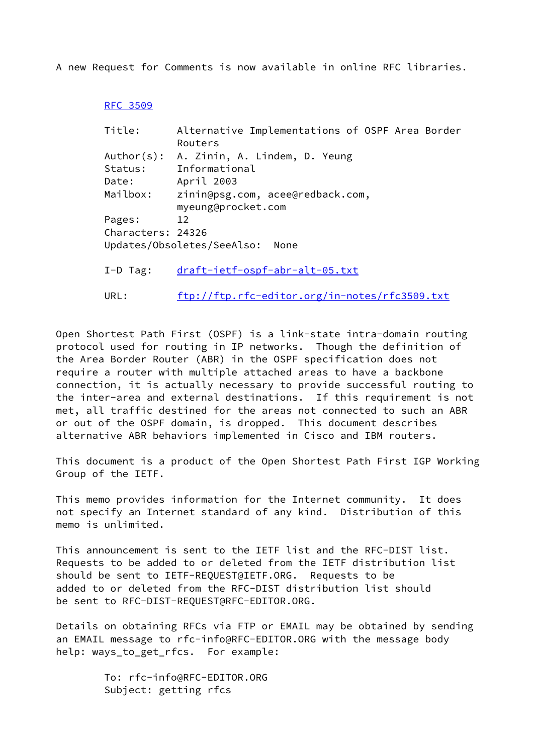A new Request for Comments is now available in online RFC libraries.

## [RFC 3509](https://datatracker.ietf.org/doc/pdf/rfc3509)

| Title:            | Alternative Implementations of OSPF Area Border        |
|-------------------|--------------------------------------------------------|
|                   | Routers                                                |
|                   | Author(s): A. Zinin, A. Lindem, D. Yeung               |
| Status:           | Informational                                          |
| Date:             | April 2003                                             |
| Mailbox:          | zinin@psg.com, acee@redback.com,<br>myeung@procket.com |
| Pages:            | 12                                                     |
| Characters: 24326 |                                                        |
|                   | Updates/Obsoletes/SeeAlso:<br>None                     |
| $I-D$ Tag:        | draft-ietf-ospf-abr-alt-05.txt                         |

URL: <ftp://ftp.rfc-editor.org/in-notes/rfc3509.txt>

Open Shortest Path First (OSPF) is a link-state intra-domain routing protocol used for routing in IP networks. Though the definition of the Area Border Router (ABR) in the OSPF specification does not require a router with multiple attached areas to have a backbone connection, it is actually necessary to provide successful routing to the inter-area and external destinations. If this requirement is not met, all traffic destined for the areas not connected to such an ABR or out of the OSPF domain, is dropped. This document describes alternative ABR behaviors implemented in Cisco and IBM routers.

This document is a product of the Open Shortest Path First IGP Working Group of the IETF.

This memo provides information for the Internet community. It does not specify an Internet standard of any kind. Distribution of this memo is unlimited.

This announcement is sent to the IETF list and the RFC-DIST list. Requests to be added to or deleted from the IETF distribution list should be sent to IETF-REQUEST@IETF.ORG. Requests to be added to or deleted from the RFC-DIST distribution list should be sent to RFC-DIST-REQUEST@RFC-EDITOR.ORG.

Details on obtaining RFCs via FTP or EMAIL may be obtained by sending an EMAIL message to rfc-info@RFC-EDITOR.ORG with the message body help: ways\_to\_get\_rfcs. For example:

> To: rfc-info@RFC-EDITOR.ORG Subject: getting rfcs